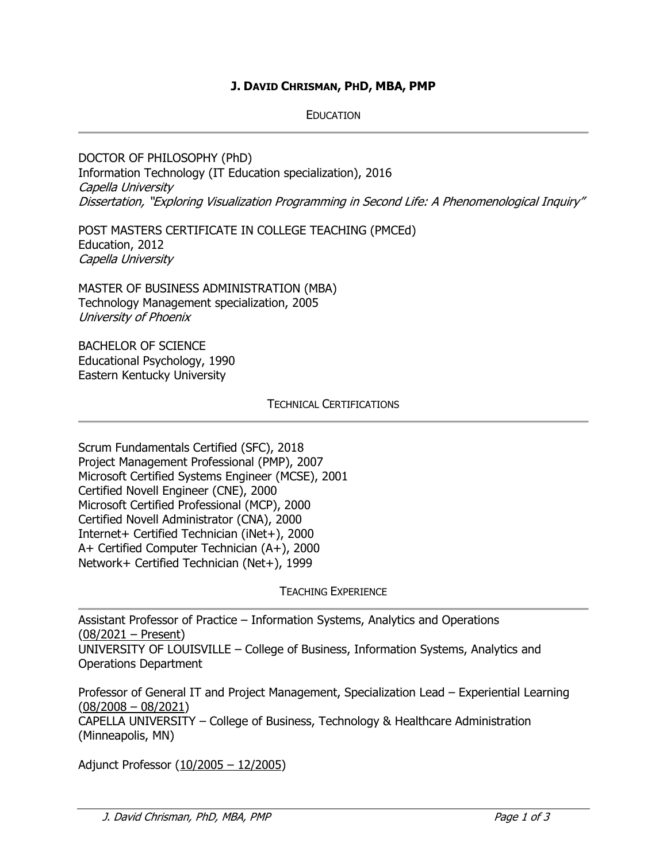## **J. DAVID CHRISMAN, PHD, MBA, PMP**

EDUCATION

DOCTOR OF PHILOSOPHY (PhD) Information Technology (IT Education specialization), 2016 Capella University Dissertation, "Exploring Visualization Programming in Second Life: A Phenomenological Inquiry"

POST MASTERS CERTIFICATE IN COLLEGE TEACHING (PMCEd) Education, 2012 Capella University

MASTER OF BUSINESS ADMINISTRATION (MBA) Technology Management specialization, 2005 University of Phoenix

BACHELOR OF SCIENCE Educational Psychology, 1990 Eastern Kentucky University

TECHNICAL CERTIFICATIONS

Scrum Fundamentals Certified (SFC), 2018 Project Management Professional (PMP), 2007 Microsoft Certified Systems Engineer (MCSE), 2001 Certified Novell Engineer (CNE), 2000 Microsoft Certified Professional (MCP), 2000 Certified Novell Administrator (CNA), 2000 Internet+ Certified Technician (iNet+), 2000 A+ Certified Computer Technician (A+), 2000 Network+ Certified Technician (Net+), 1999

TEACHING EXPERIENCE

Assistant Professor of Practice – Information Systems, Analytics and Operations (08/2021 – Present) UNIVERSITY OF LOUISVILLE – College of Business, Information Systems, Analytics and

Operations Department

Professor of General IT and Project Management, Specialization Lead – Experiential Learning (08/2008 – 08/2021)

CAPELLA UNIVERSITY – College of Business, Technology & Healthcare Administration (Minneapolis, MN)

Adjunct Professor (10/2005 – 12/2005)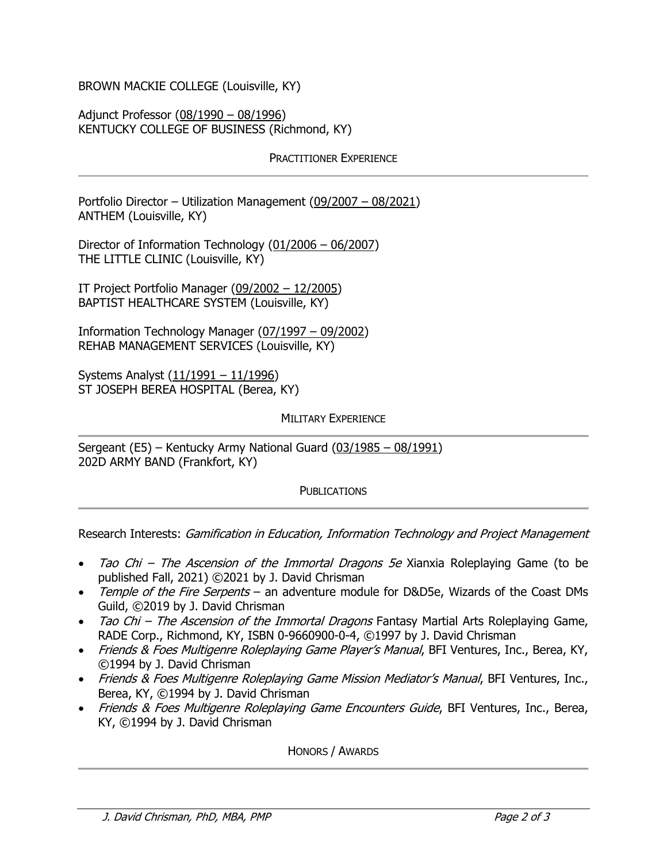BROWN MACKIE COLLEGE (Louisville, KY)

Adjunct Professor (08/1990 – 08/1996) KENTUCKY COLLEGE OF BUSINESS (Richmond, KY)

## PRACTITIONER EXPERIENCE

Portfolio Director – Utilization Management (09/2007 – 08/2021) ANTHEM (Louisville, KY)

Director of Information Technology (01/2006 – 06/2007) THE LITTLE CLINIC (Louisville, KY)

IT Project Portfolio Manager (09/2002 – 12/2005) BAPTIST HEALTHCARE SYSTEM (Louisville, KY)

Information Technology Manager (07/1997 – 09/2002) REHAB MANAGEMENT SERVICES (Louisville, KY)

Systems Analyst (11/1991 – 11/1996) ST JOSEPH BEREA HOSPITAL (Berea, KY)

## MILITARY EXPERIENCE

Sergeant (E5) – Kentucky Army National Guard (03/1985 – 08/1991) 202D ARMY BAND (Frankfort, KY)

## **PUBLICATIONS**

Research Interests: Gamification in Education, Information Technology and Project Management

- Tao Chi The Ascension of the Immortal Dragons 5e Xianxia Roleplaying Game (to be published Fall, 2021) ©2021 by J. David Chrisman
- Temple of the Fire Serpents an adventure module for D&D5e, Wizards of the Coast DMs Guild, ©2019 by J. David Chrisman
- Tao Chi The Ascension of the Immortal Dragons Fantasy Martial Arts Roleplaying Game, RADE Corp., Richmond, KY, ISBN 0-9660900-0-4, ©1997 by J. David Chrisman
- Friends & Foes Multigenre Roleplaying Game Player's Manual, BFI Ventures, Inc., Berea, KY, ©1994 by J. David Chrisman
- Friends & Foes Multigenre Roleplaying Game Mission Mediator's Manual, BFI Ventures, Inc., Berea, KY, ©1994 by J. David Chrisman
- Friends & Foes Multigenre Roleplaying Game Encounters Guide, BFI Ventures, Inc., Berea, KY, ©1994 by J. David Chrisman

HONORS / AWARDS